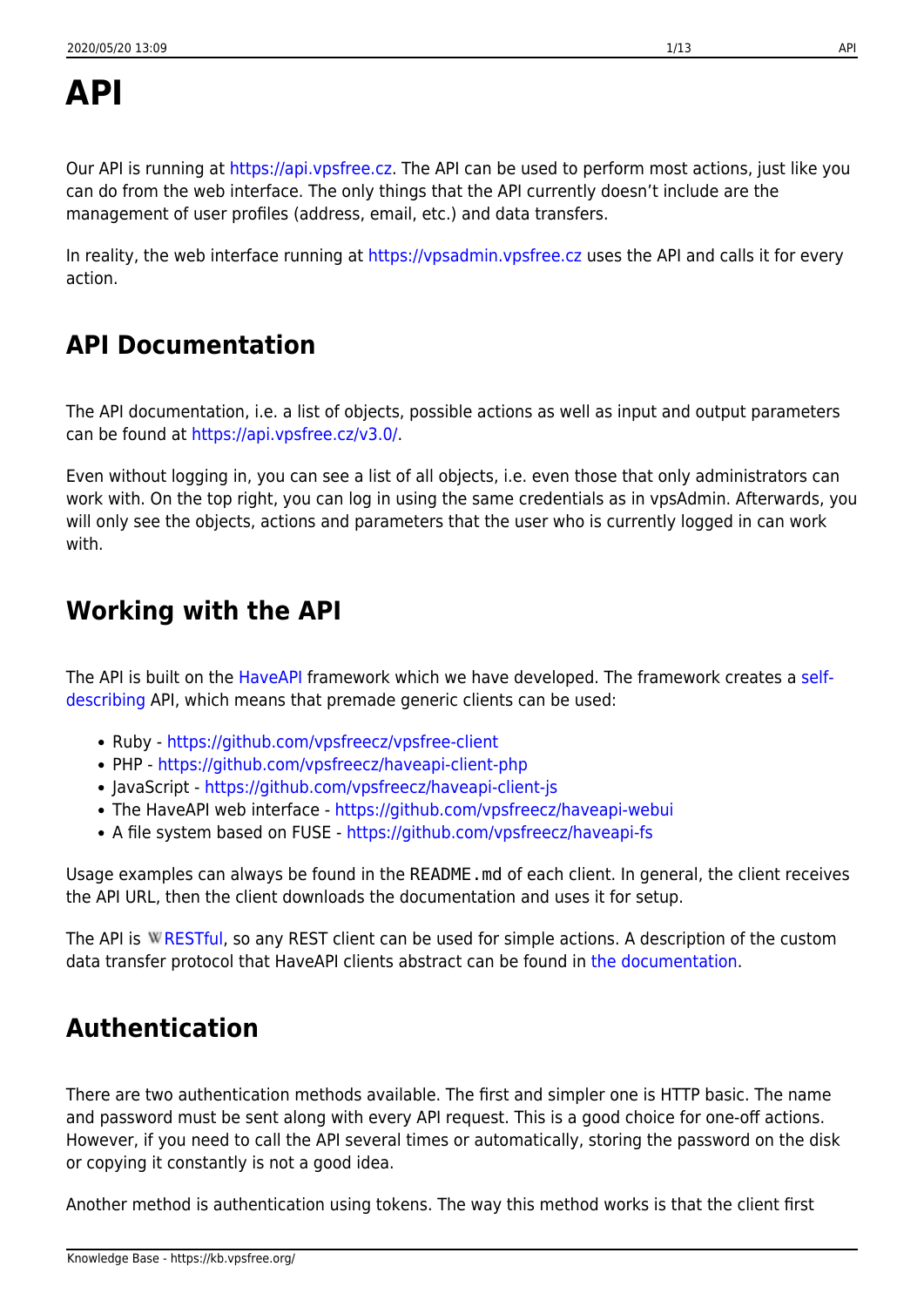Our API is running at [https://api.vpsfree.cz.](https://api.vpsfree.cz) The API can be used to perform most actions, just like you can do from the web interface. The only things that the API currently doesn't include are the management of user profiles (address, email, etc.) and data transfers.

In reality, the web interface running at<https://vpsadmin.vpsfree.cz> uses the API and calls it for every action.

# **API Documentation**

The API documentation, i.e. a list of objects, possible actions as well as input and output parameters can be found at <https://api.vpsfree.cz/v3.0/>.

Even without logging in, you can see a list of all objects, i.e. even those that only administrators can work with. On the top right, you can log in using the same credentials as in vpsAdmin. Afterwards, you will only see the objects, actions and parameters that the user who is currently logged in can work with.

## **Working with the API**

The API is built on the [HaveAPI](https://github.com/vpsfreecz/haveapi) framework which we have developed. The framework creates a [self](https://github.com/vpsfreecz/haveapi#what-is-a-self-describing-api)[describing](https://github.com/vpsfreecz/haveapi#what-is-a-self-describing-api) API, which means that premade generic clients can be used:

- Ruby <https://github.com/vpsfreecz/vpsfree-client>
- PHP <https://github.com/vpsfreecz/haveapi-client-php>
- JavaScript <https://github.com/vpsfreecz/haveapi-client-js>
- The HaveAPI web interface <https://github.com/vpsfreecz/haveapi-webui>
- A file system based on FUSE -<https://github.com/vpsfreecz/haveapi-fs>

Usage examples can always be found in the README.md of each client. In general, the client receives the API URL, then the client downloads the documentation and uses it for setup.

The API is W[RESTful,](https://en.wikipedia.org/wiki/Representational state transfer) so any REST client can be used for simple actions. A description of the custom data transfer protocol that HaveAPI clients abstract can be found in [the documentation](https://api.vpsfree.cz/doc/protocol.md).

# **Authentication**

There are two authentication methods available. The first and simpler one is HTTP basic. The name and password must be sent along with every API request. This is a good choice for one-off actions. However, if you need to call the API several times or automatically, storing the password on the disk or copying it constantly is not a good idea.

Another method is authentication using tokens. The way this method works is that the client first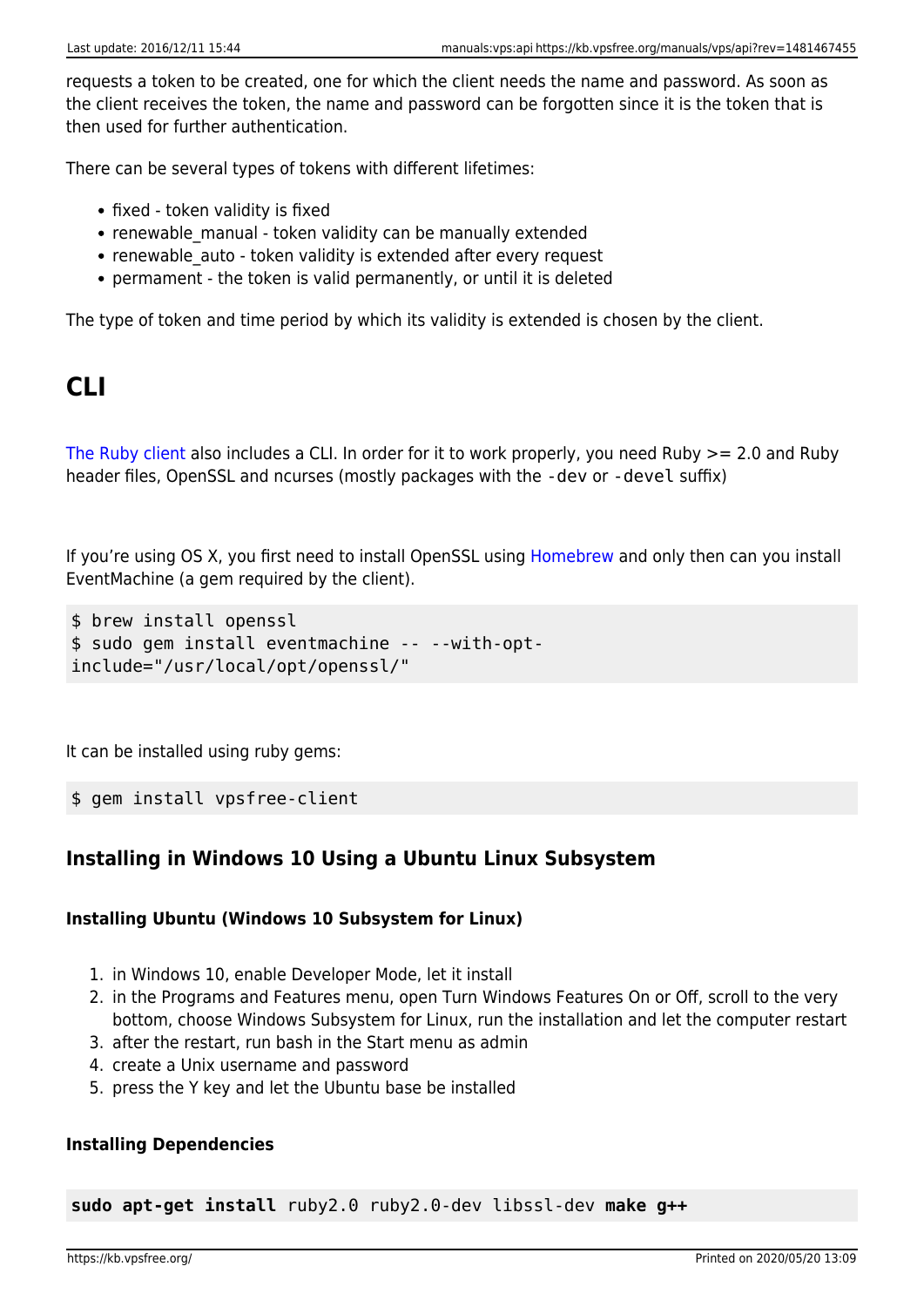requests a token to be created, one for which the client needs the name and password. As soon as the client receives the token, the name and password can be forgotten since it is the token that is then used for further authentication.

There can be several types of tokens with different lifetimes:

- fixed token validity is fixed
- renewable manual token validity can be manually extended
- renewable auto token validity is extended after every request
- permament the token is valid permanently, or until it is deleted

The type of token and time period by which its validity is extended is chosen by the client.

## **CLI**

[The Ruby client](https://github.com/vpsfreecz/vpsfree-client) also includes a CLI. In order for it to work properly, you need Ruby >= 2.0 and Ruby header files, OpenSSL and ncurses (mostly packages with the -dev or -devel suffix)

If you're using OS X, you first need to install OpenSSL using [Homebrew](http://brew.sh/) and only then can you install EventMachine (a gem required by the client).

```
$ brew install openssl
$ sudo gem install eventmachine -- --with-opt-
include="/usr/local/opt/openssl/"
```
It can be installed using ruby gems:

\$ gem install vpsfree-client

## **Installing in Windows 10 Using a Ubuntu Linux Subsystem**

#### **Installing Ubuntu (Windows 10 Subsystem for Linux)**

- 1. in Windows 10, enable Developer Mode, let it install
- 2. in the Programs and Features menu, open Turn Windows Features On or Off, scroll to the very bottom, choose Windows Subsystem for Linux, run the installation and let the computer restart
- 3. after the restart, run bash in the Start menu as admin
- 4. create a Unix username and password
- 5. press the Y key and let the Ubuntu base be installed

#### **Installing Dependencies**

**sudo apt-get install** ruby2.0 ruby2.0-dev libssl-dev **make g++**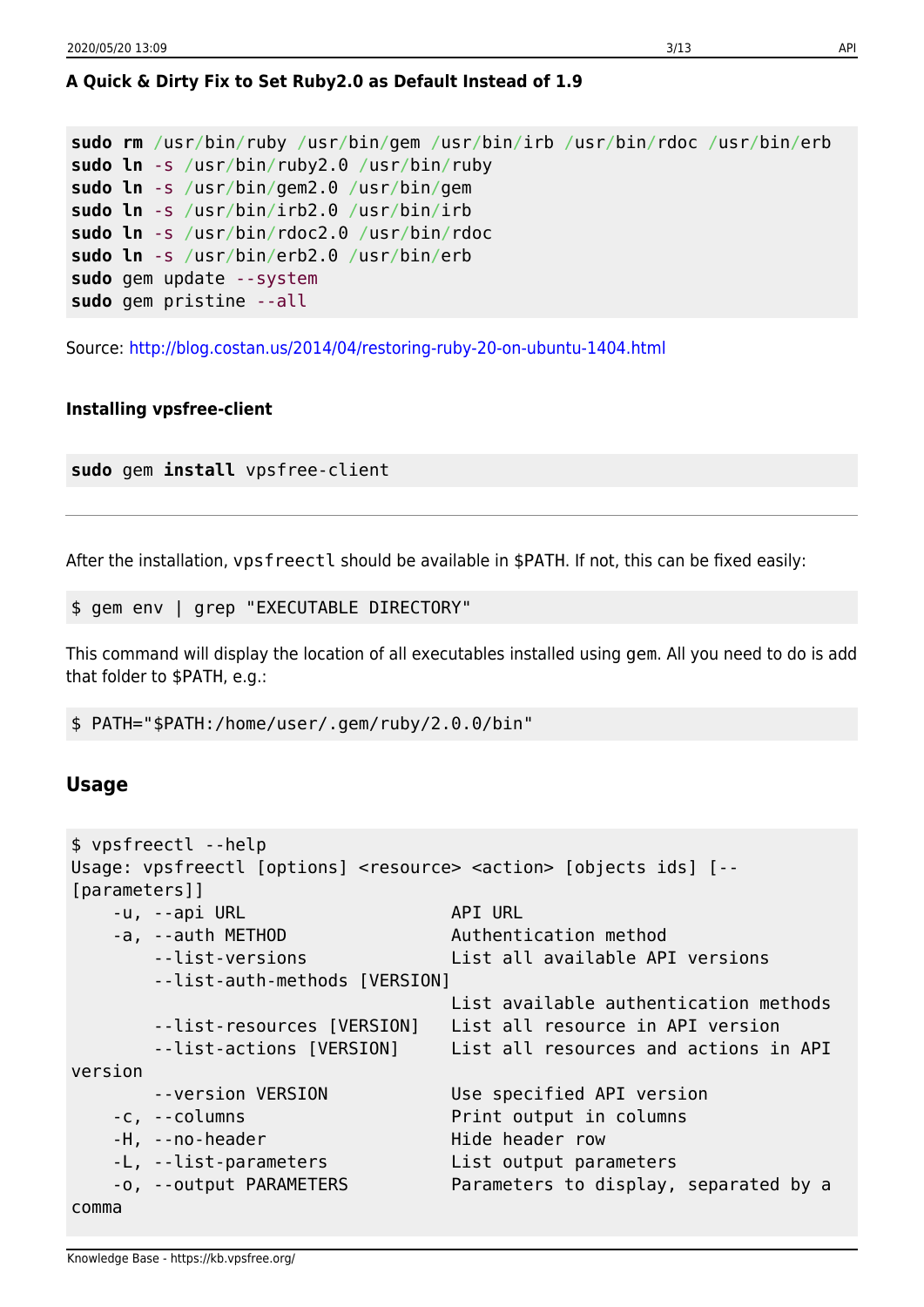### **A Quick & Dirty Fix to Set Ruby2.0 as Default Instead of 1.9**

```
sudo rm /usr/bin/ruby /usr/bin/gem /usr/bin/irb /usr/bin/rdoc /usr/bin/erb
sudo ln -s /usr/bin/ruby2.0 /usr/bin/ruby
sudo ln -s /usr/bin/gem2.0 /usr/bin/gem
sudo ln -s /usr/bin/irb2.0 /usr/bin/irb
sudo ln -s /usr/bin/rdoc2.0 /usr/bin/rdoc
sudo ln -s /usr/bin/erb2.0 /usr/bin/erb
sudo gem update --system
sudo gem pristine --all
```
Source:<http://blog.costan.us/2014/04/restoring-ruby-20-on-ubuntu-1404.html>

#### **Installing vpsfree-client**

**sudo** gem **install** vpsfree-client

After the installation, vpsfreectl should be available in \$PATH. If not, this can be fixed easily:

\$ gem env | grep "EXECUTABLE DIRECTORY"

This command will display the location of all executables installed using gem. All you need to do is add that folder to \$PATH, e.g.:

\$ PATH="\$PATH:/home/user/.gem/ruby/2.0.0/bin"

#### **Usage**

```
$ vpsfreectl --help
Usage: vpsfreectl [options] <resource> <action> [objects ids] [--
[parameters]]
   -u, --api URL API URL
   -a, --auth METHOD Authentication method
       --list-versions List all available API versions
       --list-auth-methods [VERSION]
                                 List available authentication methods
       --list-resources [VERSION] List all resource in API version
       --list-actions [VERSION] List all resources and actions in API
version
       --version VERSION Use specified API version
    -c, --columns Print output in columns
   -H, --no-header Hide header row
   -L, --list-parameters List output parameters
    -o, --output PARAMETERS Parameters to display, separated by a
comma
```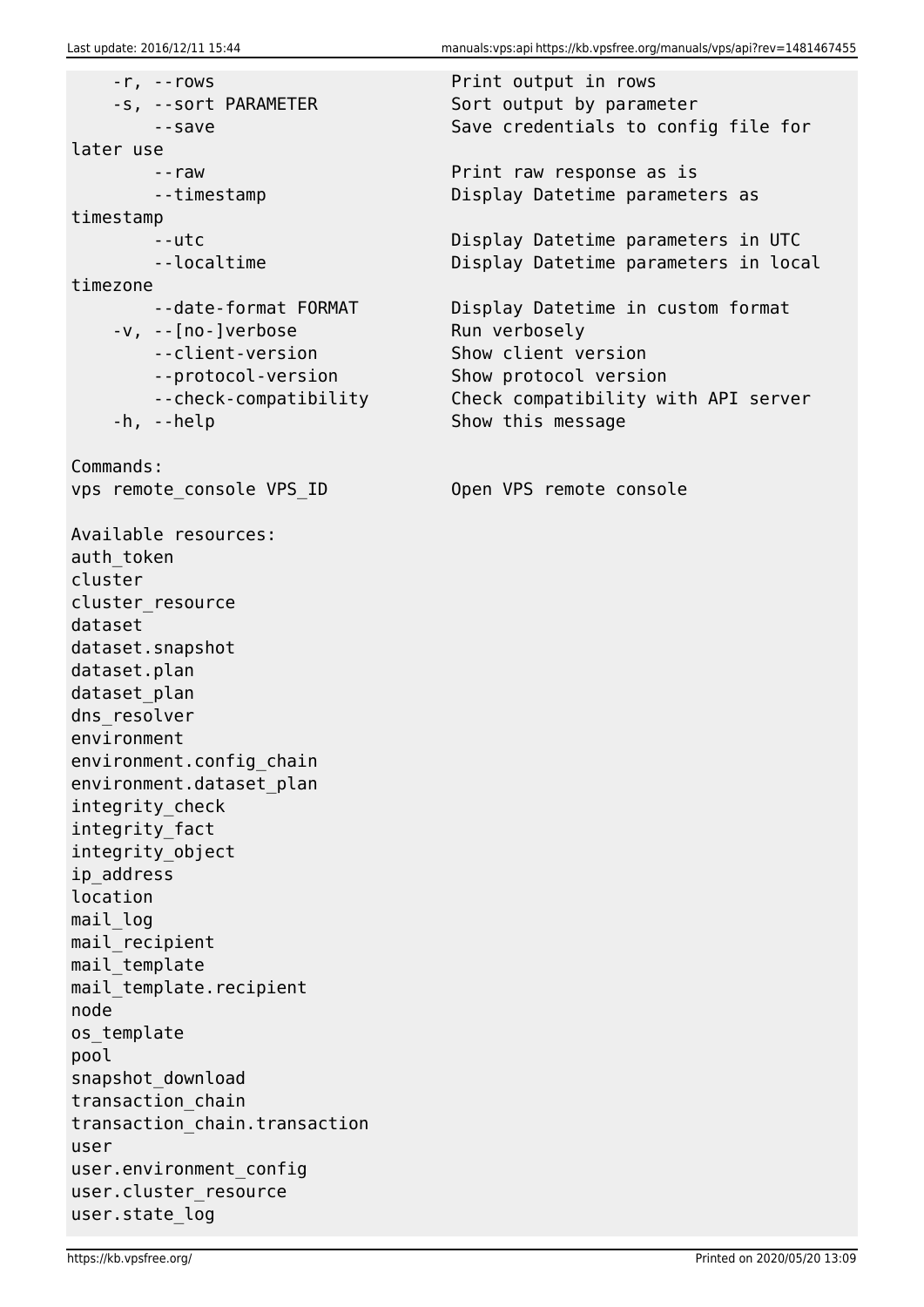-r, --rows Print output in rows -s, --sort PARAMETER Sort output by parameter later use --raw Print raw response as is timestamp timezone -v, --[no-]verbose Run verbosely --client-version Show client version --protocol-version Show protocol version -h, --help Show this message Commands: vps remote console VPS ID Open VPS remote console Available resources: auth token cluster cluster\_resource dataset dataset.snapshot dataset.plan dataset plan dns resolver environment environment.config\_chain environment.dataset\_plan integrity\_check integrity\_fact integrity\_object ip\_address location mail log mail recipient mail template mail template.recipient node os\_template pool snapshot\_download transaction\_chain transaction\_chain.transaction user user.environment\_config user.cluster resource user.state\_log

--save Save credentials to config file for

--timestamp Display Datetime parameters as

 --utc Display Datetime parameters in UTC --localtime **Display Datetime parameters in local** 

--date-format FORMAT Display Datetime in custom format --check-compatibility Check compatibility with API server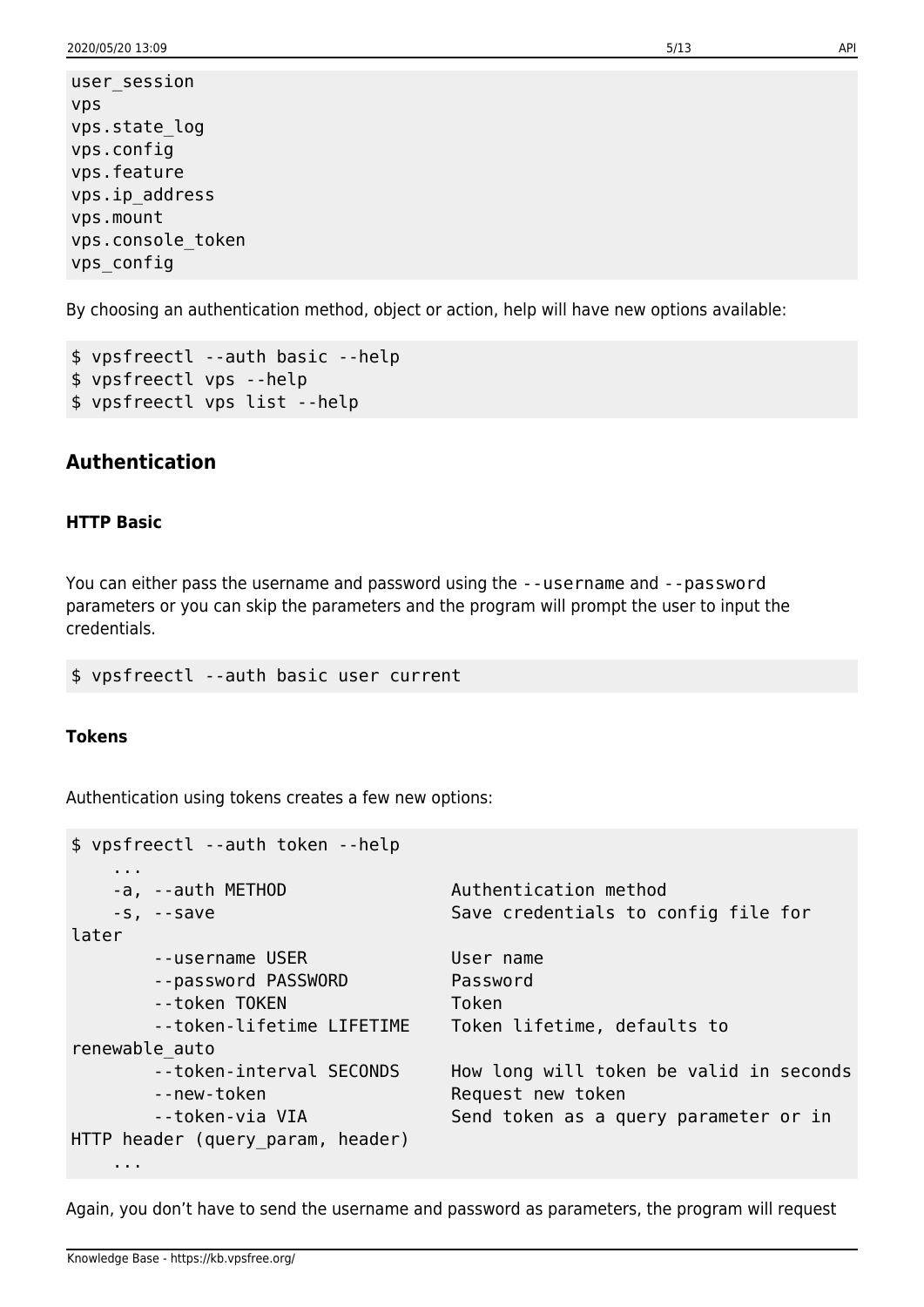user\_session vps vps.state\_log vps.config vps.feature vps.ip\_address vps.mount vps.console\_token vps\_config

By choosing an authentication method, object or action, help will have new options available:

```
$ vpsfreectl --auth basic --help
$ vpsfreectl vps --help
$ vpsfreectl vps list --help
```
### **Authentication**

#### **HTTP Basic**

You can either pass the username and password using the --username and --password parameters or you can skip the parameters and the program will prompt the user to input the credentials.

\$ vpsfreectl --auth basic user current

#### **Tokens**

Authentication using tokens creates a few new options:

| \$ vpsfreectl --auth token --help                                                    |                                                                                                       |  |  |
|--------------------------------------------------------------------------------------|-------------------------------------------------------------------------------------------------------|--|--|
| $\cdots$<br>-a, --auth METHOD                                                        | Authentication method<br>Save credentials to config file for                                          |  |  |
| $-S, -save$<br>later                                                                 |                                                                                                       |  |  |
| --username USER<br>--password PASSWORD<br>--token TOKEN<br>--token-lifetime LIFETIME | User name<br>Password<br>Token<br>Token lifetime, defaults to                                         |  |  |
| renewable auto                                                                       |                                                                                                       |  |  |
| --token-interval SECONDS<br>--new-token<br>--token-via VIA                           | How long will token be valid in seconds<br>Request new token<br>Send token as a query parameter or in |  |  |
| HTTP header (query param, header)                                                    |                                                                                                       |  |  |
| .                                                                                    |                                                                                                       |  |  |

Again, you don't have to send the username and password as parameters, the program will request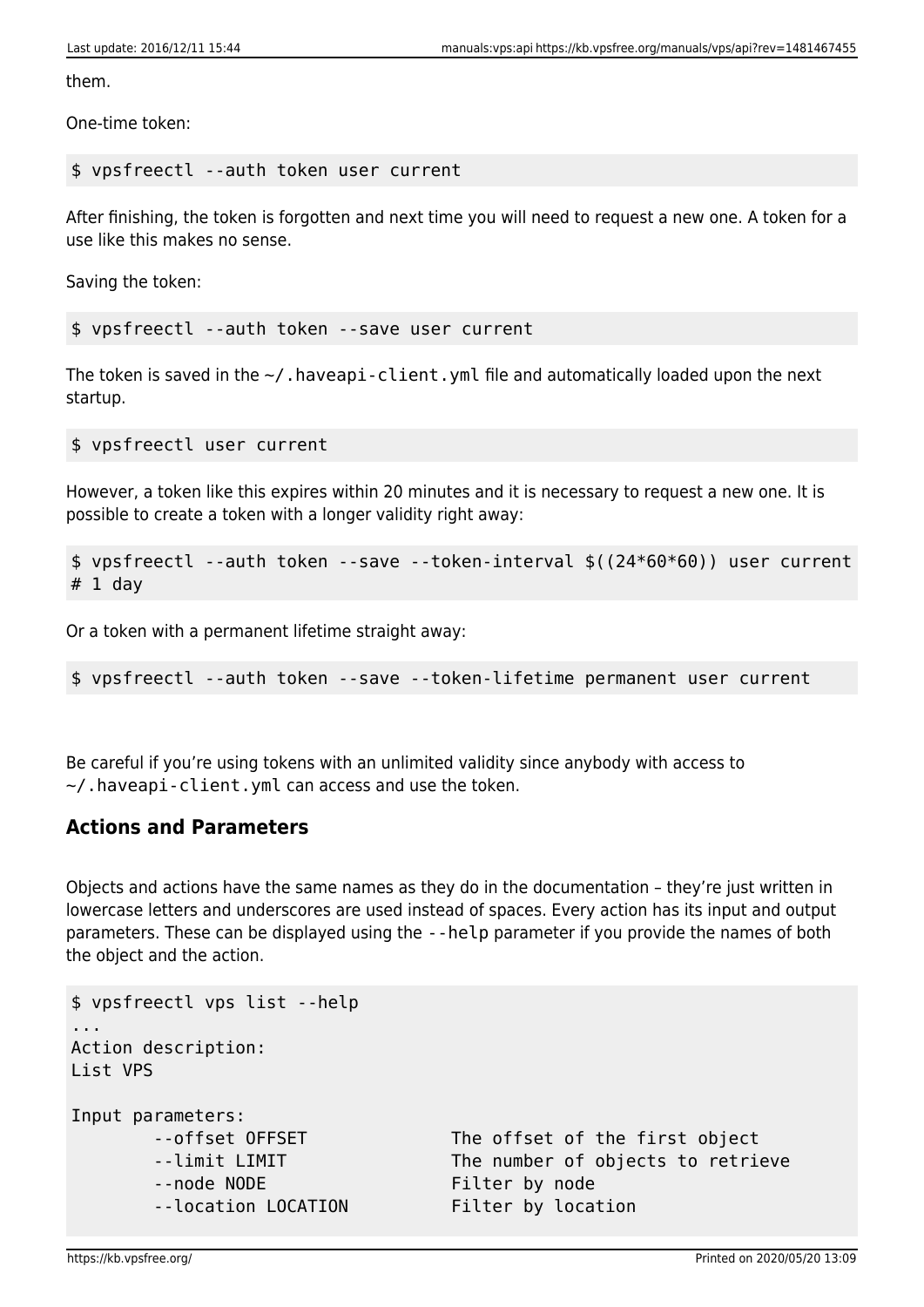them.

One-time token:

#### \$ vpsfreectl --auth token user current

After finishing, the token is forgotten and next time you will need to request a new one. A token for a use like this makes no sense.

Saving the token:

\$ vpsfreectl --auth token --save user current

The token is saved in the  $\sim$ /. haveapi-client. yml file and automatically loaded upon the next startup.

\$ vpsfreectl user current

However, a token like this expires within 20 minutes and it is necessary to request a new one. It is possible to create a token with a longer validity right away:

```
$ vpsfreectl --auth token --save --token-interval $((24*60*60)) user current
# 1 day
```
Or a token with a permanent lifetime straight away:

\$ vpsfreectl --auth token --save --token-lifetime permanent user current

Be careful if you're using tokens with an unlimited validity since anybody with access to  $\sim$ /.haveapi-client.yml can access and use the token.

### **Actions and Parameters**

Objects and actions have the same names as they do in the documentation – they're just written in lowercase letters and underscores are used instead of spaces. Every action has its input and output parameters. These can be displayed using the --help parameter if you provide the names of both the object and the action.

```
$ vpsfreectl vps list --help
...
Action description:
List VPS
Input parameters:
      --offset OFFSET The offset of the first object
      --limit LIMIT The number of objects to retrieve
      --node NODE Filter by node
       --location LOCATION Filter by location
```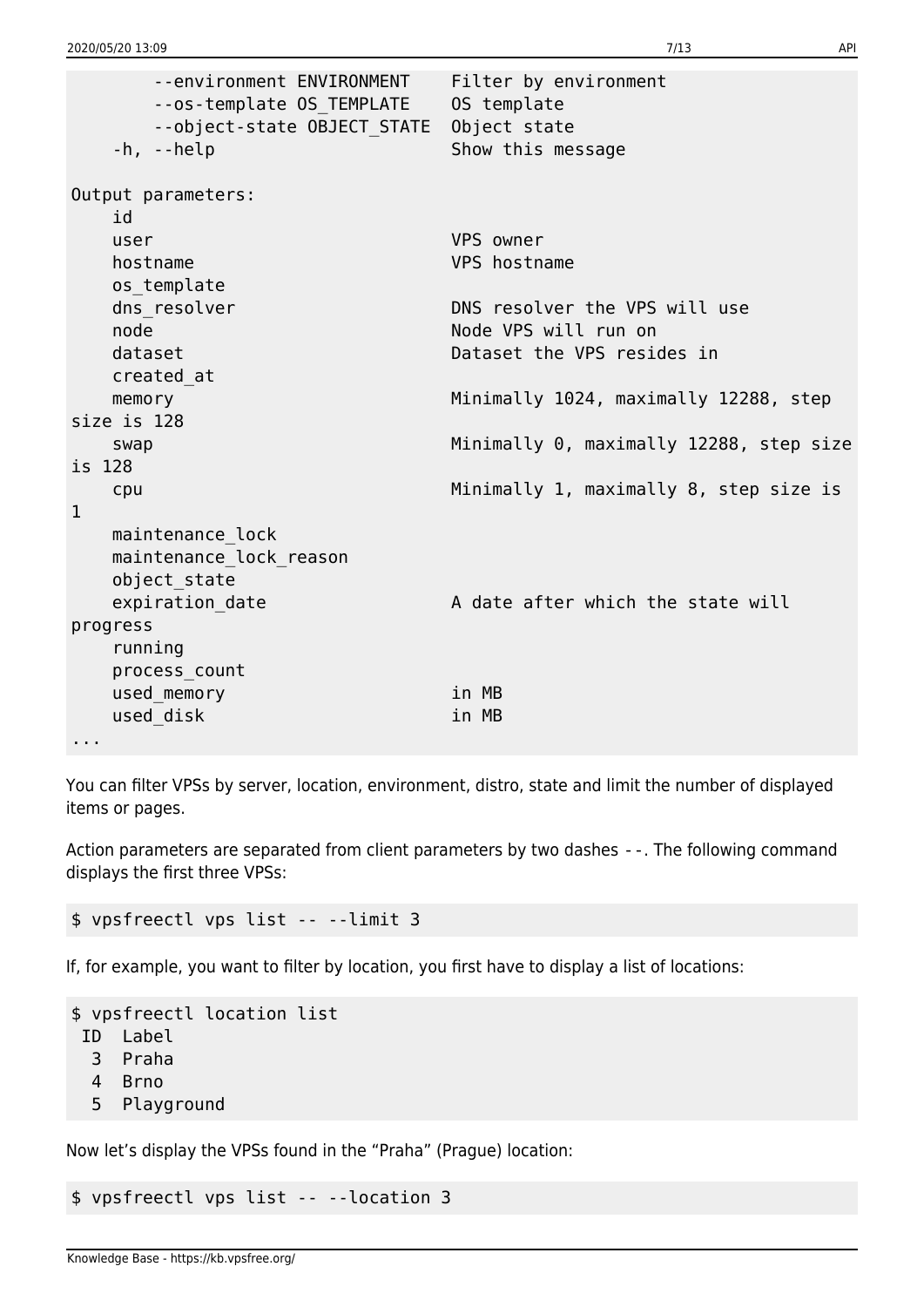```
 --environment ENVIRONMENT Filter by environment
       --os-template OS_TEMPLATE OS template
       --object-state OBJECT_STATE Object state
   -h, --help Show this message
Output parameters:
   id
   user VPS owner
   hostname VPS hostname
   os_template
  dns resolver DNS resolver the VPS will use
  node Node VPS will run on
   dataset Dataset the VPS resides in
   created_at
  memory memory memory manufacture memory memory memory manufacture manufacture memory memory
size is 128
  swap Minimally 0, maximally 12288, step size
is 128
   cpu Minimally 1, maximally 8, step size is
1
   maintenance_lock
   maintenance_lock_reason
   object_state
  expiration date A date after which the state will
progress
    running
   process_count
  used memory in MB
  used disk in MB
...
```
You can filter VPSs by server, location, environment, distro, state and limit the number of displayed items or pages.

Action parameters are separated from client parameters by two dashes --. The following command displays the first three VPSs:

\$ vpsfreectl vps list -- --limit 3

If, for example, you want to filter by location, you first have to display a list of locations:

```
$ vpsfreectl location list
 ID Label
   3 Praha
   4 Brno
   5 Playground
```
Now let's display the VPSs found in the "Praha" (Prague) location:

\$ vpsfreectl vps list -- --location 3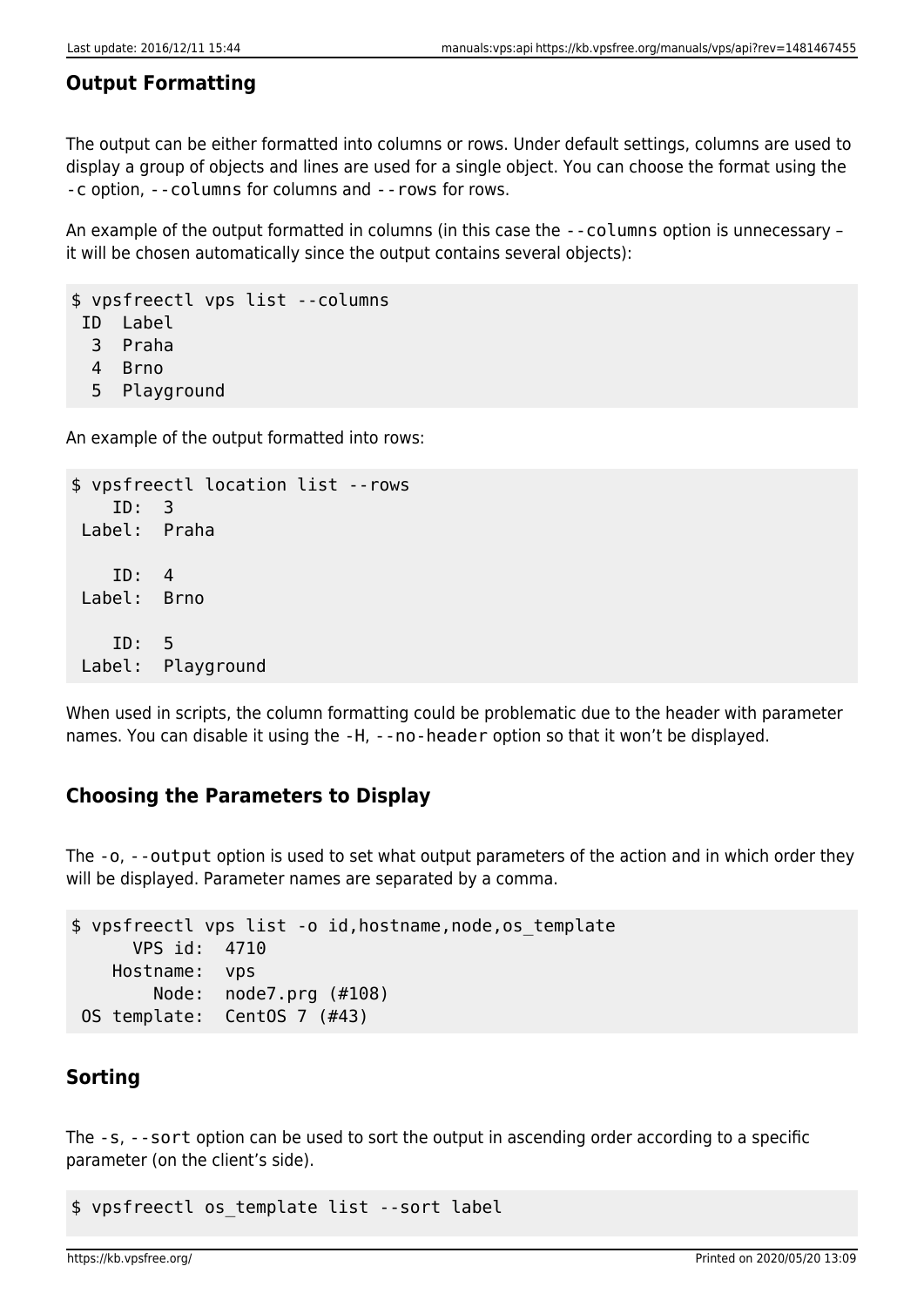## **Output Formatting**

The output can be either formatted into columns or rows. Under default settings, columns are used to display a group of objects and lines are used for a single object. You can choose the format using the -c option, --columns for columns and --rows for rows.

An example of the output formatted in columns (in this case the --columns option is unnecessary – it will be chosen automatically since the output contains several objects):

\$ vpsfreectl vps list --columns ID Label

3 Praha

- 4 Brno
- 5 Playground

An example of the output formatted into rows:

```
$ vpsfreectl location list --rows
     ID: 3
 Label: Praha
     ID: 4
 Label: Brno
     ID: 5
 Label: Playground
```
When used in scripts, the column formatting could be problematic due to the header with parameter names. You can disable it using the -H, --no-header option so that it won't be displayed.

## **Choosing the Parameters to Display**

The -o, --output option is used to set what output parameters of the action and in which order they will be displayed. Parameter names are separated by a comma.

```
$ vpsfreectl vps list -o id,hostname,node,os_template
       VPS id: 4710
    Hostname: vps
         Node: node7.prg (#108)
 OS template: CentOS 7 (#43)
```
## **Sorting**

The -s, --sort option can be used to sort the output in ascending order according to a specific parameter (on the client's side).

\$ vpsfreectl os\_template list --sort label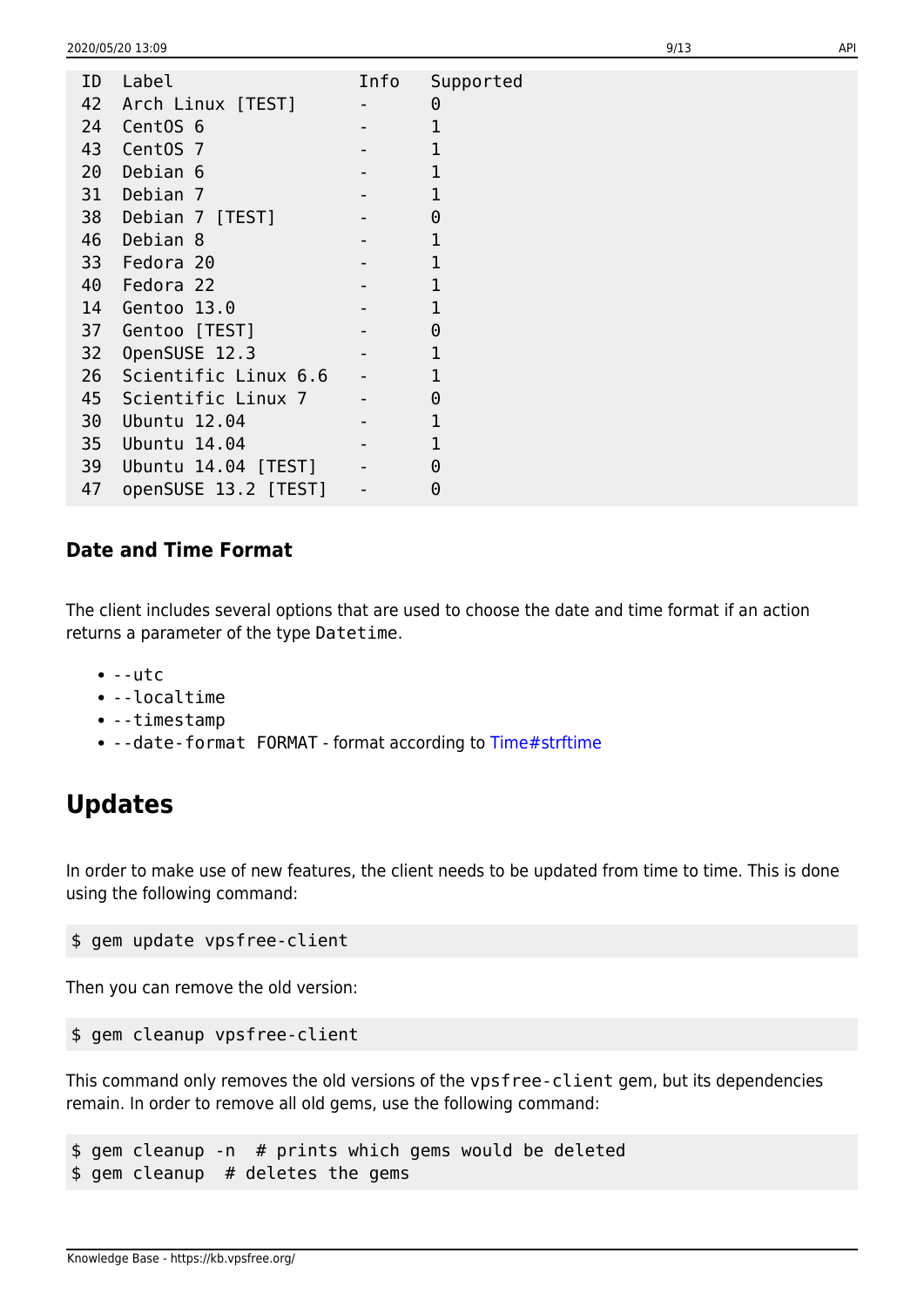| ID | Label                | Info                     | Supported    |
|----|----------------------|--------------------------|--------------|
| 42 | Arch Linux [TEST]    | $\overline{\phantom{a}}$ | 0            |
| 24 | CentOS <sub>6</sub>  |                          | 1            |
| 43 | CentOS 7             |                          | 1            |
| 20 | Debian 6             |                          | $\mathbf{1}$ |
| 31 | Debian 7             |                          | $\mathbf{1}$ |
| 38 | Debian 7 [TEST]      |                          | $\Theta$     |
| 46 | Debian 8             |                          | 1            |
| 33 | Fedora 20            |                          | $\mathbf{1}$ |
| 40 | Fedora 22            |                          | 1            |
| 14 | Gentoo 13.0          |                          | 1            |
| 37 | Gentoo [TEST]        |                          | $\Theta$     |
| 32 | OpenSUSE 12.3        |                          | 1            |
| 26 | Scientific Linux 6.6 | $\blacksquare$           | 1            |
| 45 | Scientific Linux 7   |                          | $\Theta$     |
| 30 | Ubuntu 12.04         |                          | 1            |
| 35 | Ubuntu 14.04         |                          | $\mathbf{1}$ |
| 39 | Ubuntu 14.04 [TEST]  | $\blacksquare$           | $\Theta$     |
| 47 | openSUSE 13.2 [TEST] | $\qquad \qquad -$        | 0            |
|    |                      |                          |              |

### **Date and Time Format**

The client includes several options that are used to choose the date and time format if an action returns a parameter of the type Datetime.

- $\bullet$  --utc
- --localtime
- --timestamp
- --date-format FORMAT format according to [Time#strftime](http://ruby-doc.org/core-2.3.0/Time.html#method-i-strftime)

## **Updates**

In order to make use of new features, the client needs to be updated from time to time. This is done using the following command:

```
$ gem update vpsfree-client
```
Then you can remove the old version:

```
$ gem cleanup vpsfree-client
```
This command only removes the old versions of the vpsfree-client gem, but its dependencies remain. In order to remove all old gems, use the following command:

\$ gem cleanup -n # prints which gems would be deleted \$ gem cleanup # deletes the gems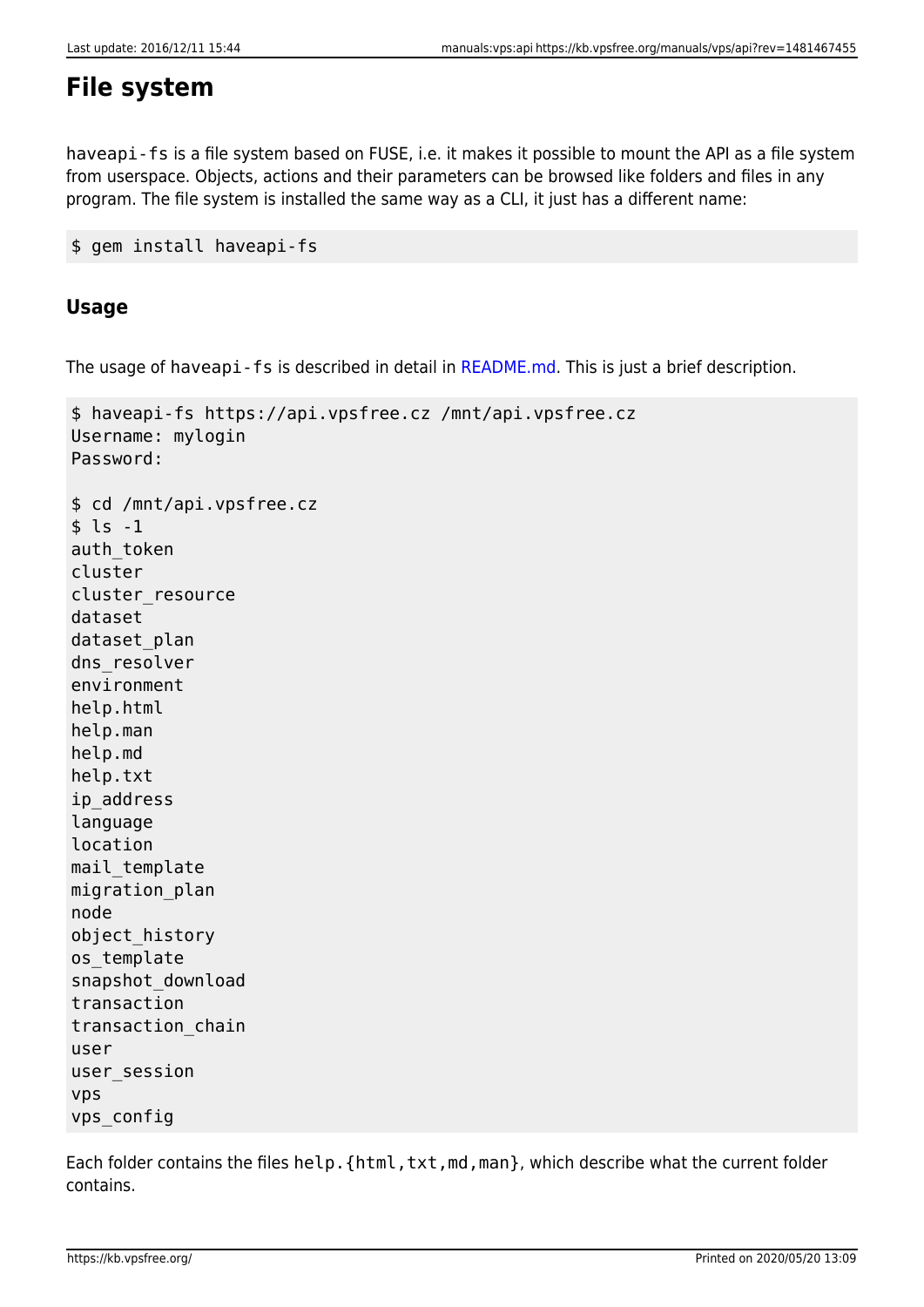## **File system**

haveapi-fs is a file system based on FUSE, i.e. it makes it possible to mount the API as a file system from userspace. Objects, actions and their parameters can be browsed like folders and files in any program. The file system is installed the same way as a CLI, it just has a different name:

```
$ gem install haveapi-fs
```
## **Usage**

The usage of haveapi-fs is described in detail in [README.md](https://github.com/vpsfreecz/haveapi-fs#usage). This is just a brief description.

```
$ haveapi-fs https://api.vpsfree.cz /mnt/api.vpsfree.cz
Username: mylogin
Password:
$ cd /mnt/api.vpsfree.cz
$ \;ls \; -1auth token
cluster
cluster_resource
dataset
dataset plan
dns resolver
environment
help.html
help.man
help.md
help.txt
ip_address
language
location
mail_template
migration_plan
node
object_history
os_template
snapshot_download
transaction
transaction_chain
user
user_session
vps
vps_config
```
Each folder contains the files help. {html,txt,md,man}, which describe what the current folder contains.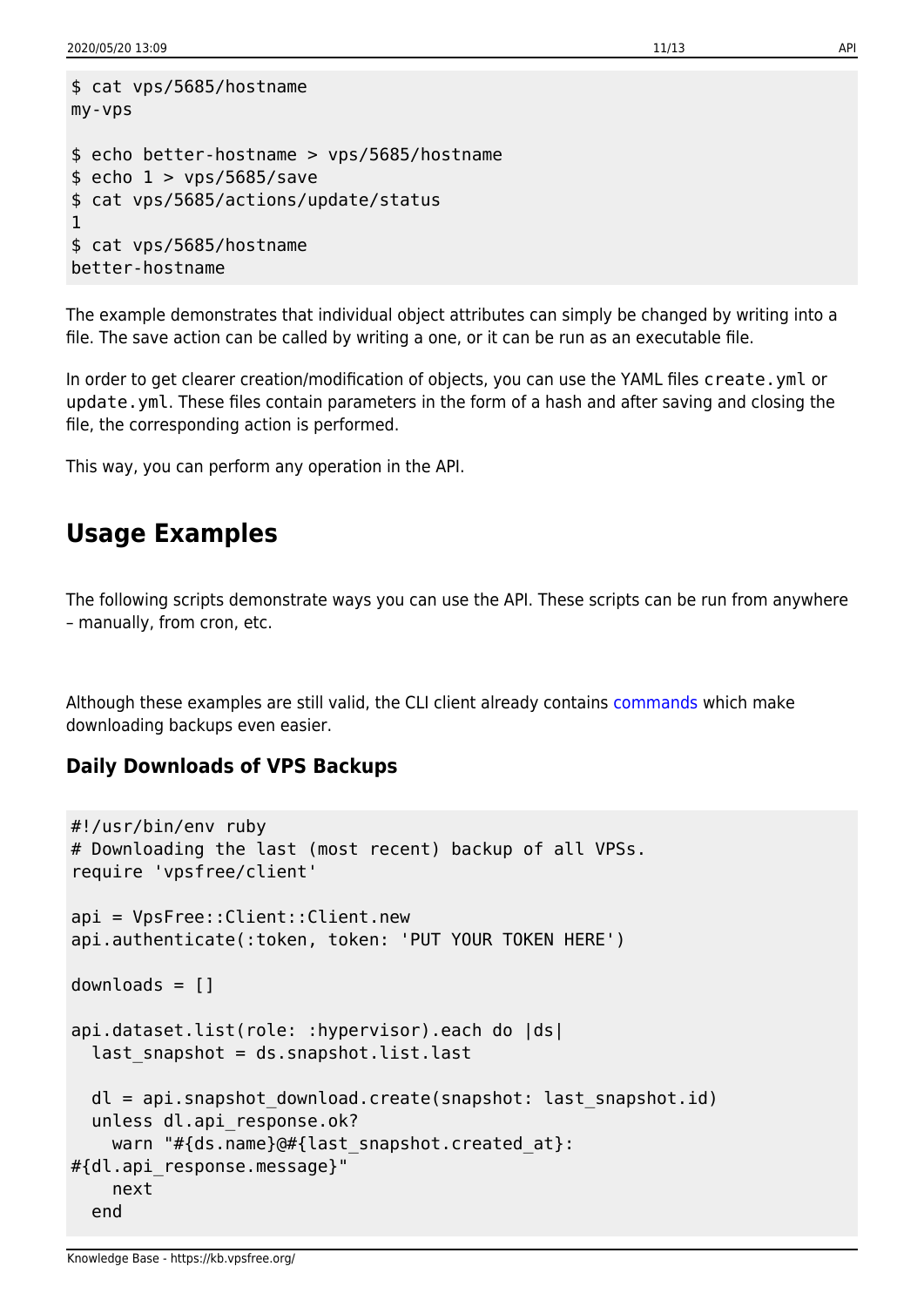```
$ cat vps/5685/hostname
my-vps
$ echo better-hostname > vps/5685/hostname
$echo 1 > vps/5685/save$ cat vps/5685/actions/update/status
1
$ cat vps/5685/hostname
better-hostname
```
The example demonstrates that individual object attributes can simply be changed by writing into a file. The save action can be called by writing a one, or it can be run as an executable file.

In order to get clearer creation/modification of objects, you can use the YAML files create.yml or update.yml. These files contain parameters in the form of a hash and after saving and closing the file, the corresponding action is performed.

This way, you can perform any operation in the API.

## **Usage Examples**

The following scripts demonstrate ways you can use the API. These scripts can be run from anywhere – manually, from cron, etc.

Although these examples are still valid, the CLI client already contains [commands](https://kb.vpsfree.org/navody/vps/datasety#stahovani_zaloh) which make downloading backups even easier.

### **Daily Downloads of VPS Backups**

```
#!/usr/bin/env ruby
# Downloading the last (most recent) backup of all VPSs.
require 'vpsfree/client'
api = VpsFree::Client::Client.new
api.authenticate(:token, token: 'PUT YOUR TOKEN HERE')
downloads = []api.dataset.list(role: :hypervisor).each do |ds|
  last snapshot = ds.snapshot.list.last
  dl = api.snapshot_download.create(snapshot: last_snapshot.id)
  unless dl.api response.ok?
    warn "#{ds.name}@#{last_snapshot.created_at}:
#{dl.api_response.message}"
    next
   end
```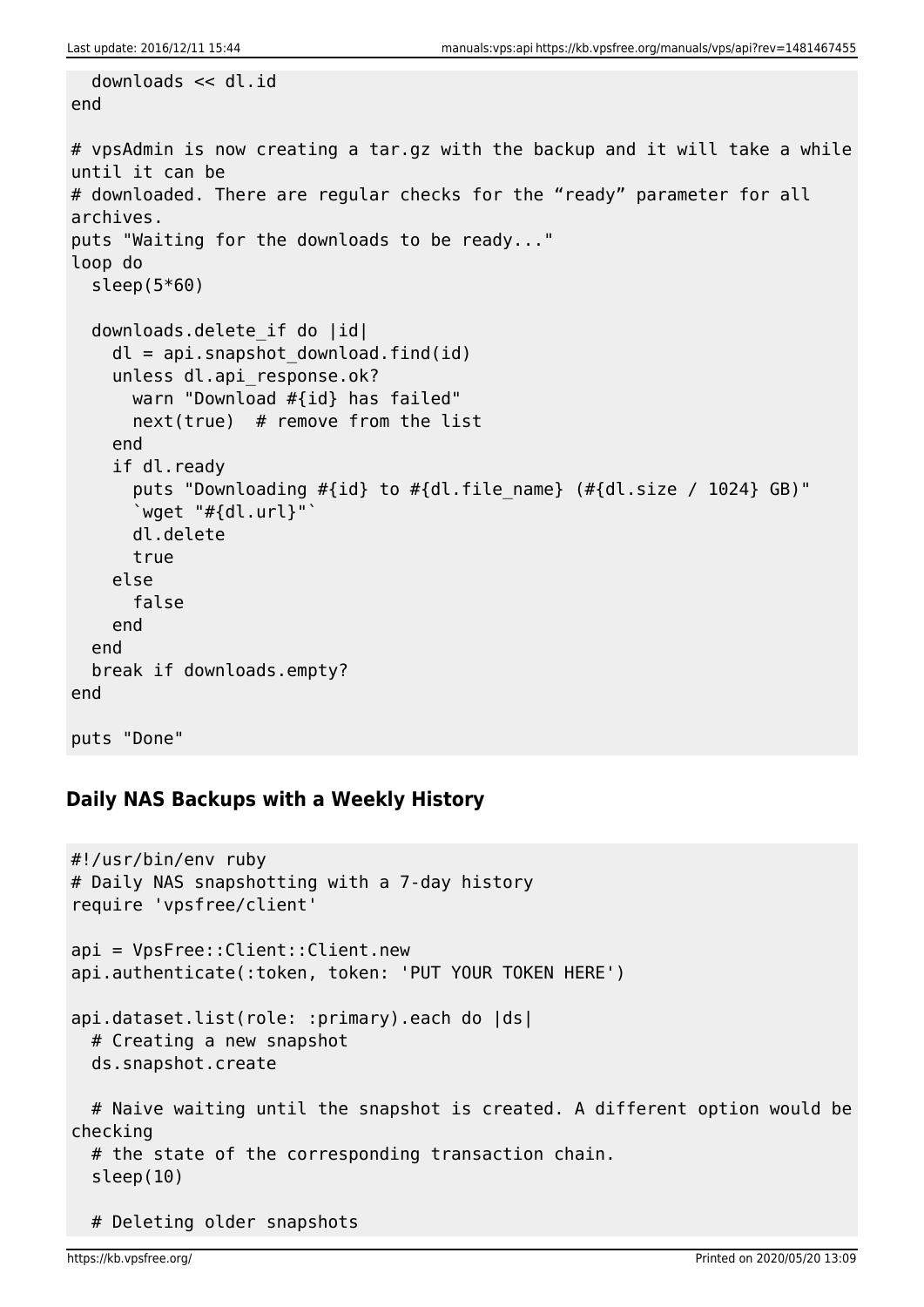```
 downloads << dl.id
end
# vpsAdmin is now creating a tar.gz with the backup and it will take a while
until it can be
# downloaded. There are regular checks for the "ready" parameter for all
archives.
puts "Waiting for the downloads to be ready..."
loop do
   sleep(5*60)
  downloads.delete if do |id|
    dl =api.snapshot download.find(id)
    unless dl.api response.ok?
       warn "Download #{id} has failed"
      next(true) # remove from the list
     end
     if dl.ready
      puts "Downloading \# \{id\} to \# \{dl.file name} (\# \{dl.size / 1024\} GB)"
      \degreewget "#{dl.url}"\degree dl.delete
       true
     else
       false
     end
   end
   break if downloads.empty?
end
puts "Done"
```
## **Daily NAS Backups with a Weekly History**

```
#!/usr/bin/env ruby
# Daily NAS snapshotting with a 7-day history
require 'vpsfree/client'
api = VpsFree::Client::Client.new
api.authenticate(:token, token: 'PUT YOUR TOKEN HERE')
api.dataset.list(role: :primary).each do |ds|
  # Creating a new snapshot
  ds.snapshot.create
  # Naive waiting until the snapshot is created. A different option would be
checking
  # the state of the corresponding transaction chain.
   sleep(10)
  # Deleting older snapshots
```